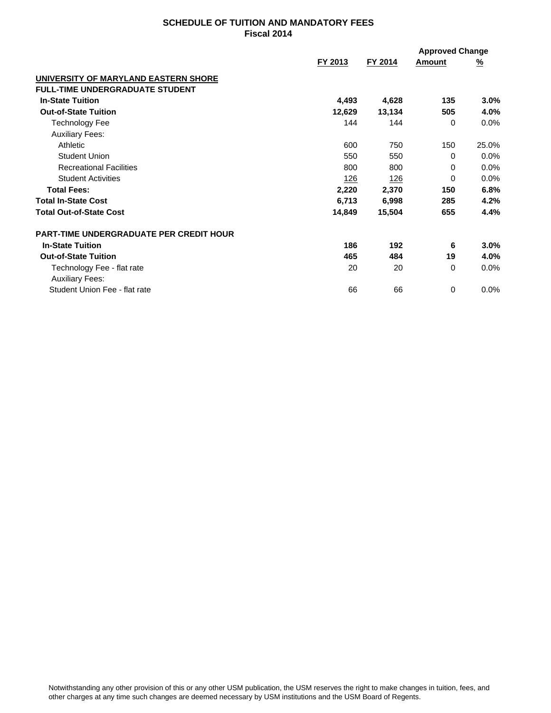## **SCHEDULE OF TUITION AND MANDATORY FEES Fiscal 2014**

|                                                |            |             | <b>Approved Change</b> |          |
|------------------------------------------------|------------|-------------|------------------------|----------|
|                                                | FY 2013    | FY 2014     | Amount                 | <u>%</u> |
| UNIVERSITY OF MARYLAND EASTERN SHORE           |            |             |                        |          |
| <b>FULL-TIME UNDERGRADUATE STUDENT</b>         |            |             |                        |          |
| <b>In-State Tuition</b>                        | 4,493      | 4,628       | 135                    | $3.0\%$  |
| <b>Out-of-State Tuition</b>                    | 12,629     | 13,134      | 505                    | 4.0%     |
| <b>Technology Fee</b>                          | 144        | 144         | $\Omega$               | $0.0\%$  |
| <b>Auxiliary Fees:</b>                         |            |             |                        |          |
| Athletic                                       | 600        | 750         | 150                    | 25.0%    |
| <b>Student Union</b>                           | 550        | 550         | $\Omega$               | $0.0\%$  |
| <b>Recreational Facilities</b>                 | 800        | 800         | $\Omega$               | $0.0\%$  |
| <b>Student Activities</b>                      | <u>126</u> | <u> 126</u> | 0                      | $0.0\%$  |
| <b>Total Fees:</b>                             | 2,220      | 2,370       | 150                    | 6.8%     |
| <b>Total In-State Cost</b>                     | 6,713      | 6,998       | 285                    | 4.2%     |
| <b>Total Out-of-State Cost</b>                 | 14,849     | 15,504      | 655                    | 4.4%     |
| <b>PART-TIME UNDERGRADUATE PER CREDIT HOUR</b> |            |             |                        |          |
| <b>In-State Tuition</b>                        | 186        | 192         | 6                      | 3.0%     |
| <b>Out-of-State Tuition</b>                    | 465        | 484         | 19                     | 4.0%     |
| Technology Fee - flat rate                     | 20         | 20          | $\Omega$               | 0.0%     |
| <b>Auxiliary Fees:</b>                         |            |             |                        |          |
| Student Union Fee - flat rate                  | 66         | 66          | 0                      | $0.0\%$  |